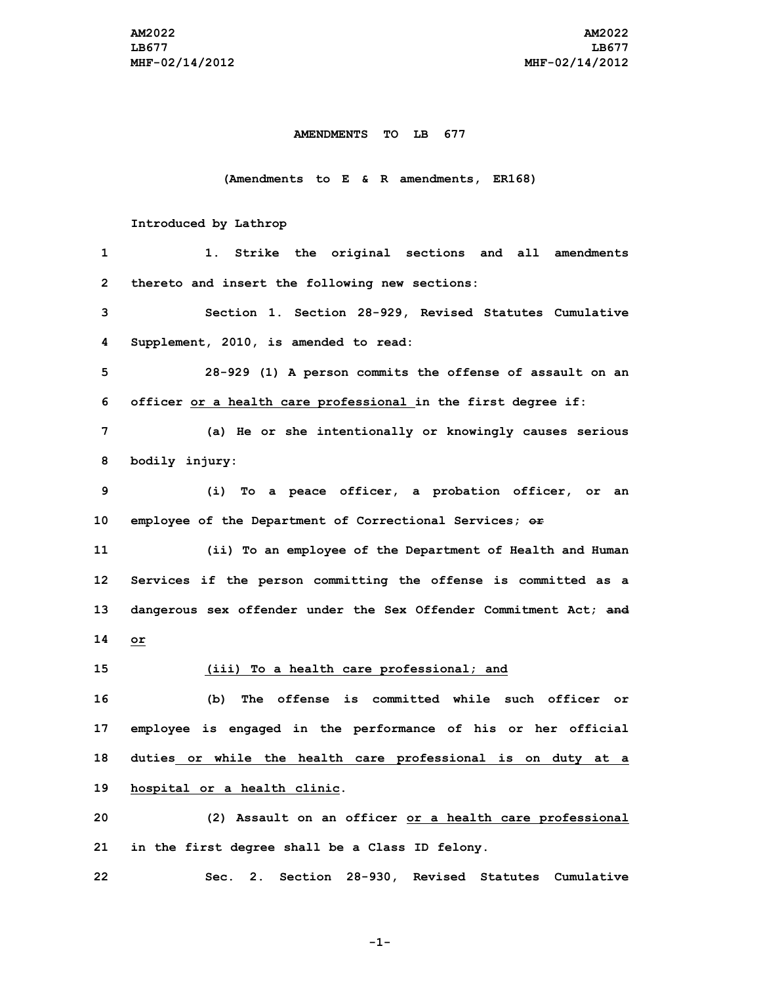## **AMENDMENTS TO LB 677**

## **(Amendments to E & R amendments, ER168)**

## **Introduced by Lathrop**

| 1  | Strike the original sections and all<br>amendments<br>1. .        |
|----|-------------------------------------------------------------------|
| 2  | thereto and insert the following new sections:                    |
| 3  | Section 1. Section 28-929, Revised Statutes Cumulative            |
| 4  | Supplement, 2010, is amended to read:                             |
| 5  | 28-929 (1) A person commits the offense of assault on an          |
| 6  | officer or a health care professional in the first degree if:     |
| 7  | (a) He or she intentionally or knowingly causes serious           |
| 8  | bodily injury:                                                    |
| 9  | (i) To a peace officer, a probation officer, or an                |
| 10 | employee of the Department of Correctional Services; or           |
| 11 | (ii) To an employee of the Department of Health and Human         |
| 12 | Services if the person committing the offense is committed as a   |
| 13 | dangerous sex offender under the Sex Offender Commitment Act; and |
| 14 | or                                                                |
| 15 | (iii) To a health care professional; and                          |
| 16 | The offense is committed while such officer or<br>(b)             |
| 17 | employee is engaged in the performance of his or her official     |
| 18 | duties or while the health care professional is on duty at a      |
| 19 | hospital or a health clinic.                                      |
| 20 | (2) Assault on an officer or a health care professional           |
| 21 | in the first degree shall be a Class ID felony.                   |
| 22 | 2.<br>Section 28-930, Revised Statutes Cumulative<br>Sec.         |

**-1-**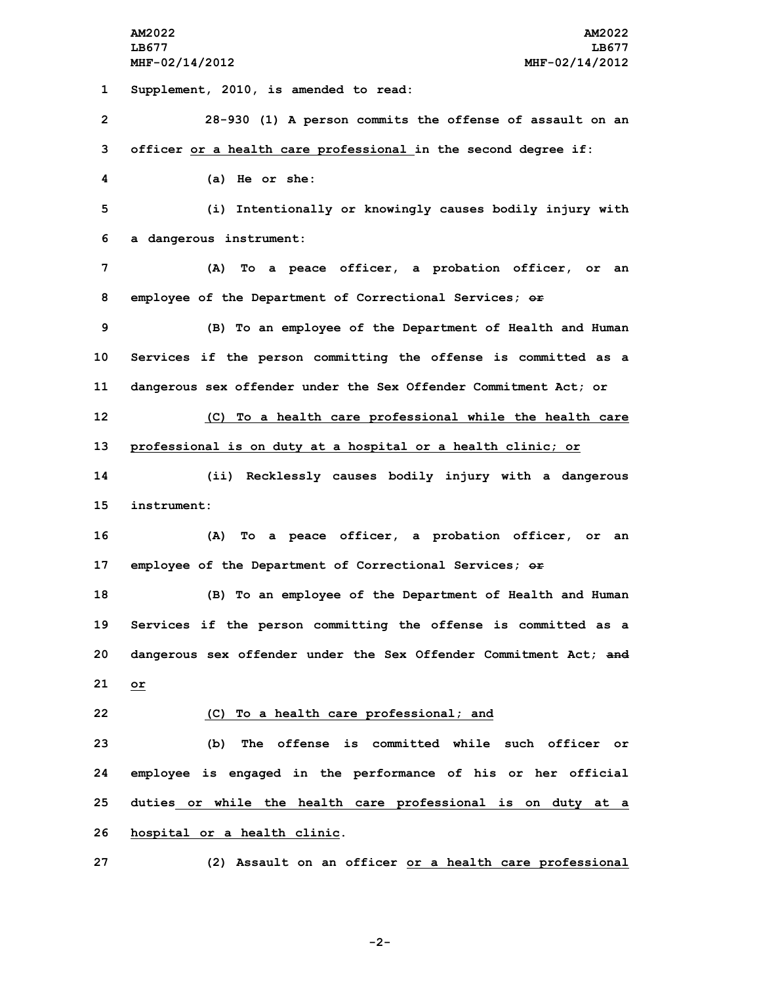**Supplement, 2010, is amended to read: 28-930 (1) <sup>A</sup> person commits the offense of assault on an officer or <sup>a</sup> health care professional in the second degree if: (a) He or she: (i) Intentionally or knowingly causes bodily injury with <sup>a</sup> dangerous instrument: (A) To <sup>a</sup> peace officer, <sup>a</sup> probation officer, or an employee of the Department of Correctional Services; or (B) To an employee of the Department of Health and Human Services if the person committing the offense is committed as <sup>a</sup> dangerous sex offender under the Sex Offender Commitment Act; or (C) To <sup>a</sup> health care professional while the health care professional is on duty at <sup>a</sup> hospital or <sup>a</sup> health clinic; or (ii) Recklessly causes bodily injury with <sup>a</sup> dangerous instrument: (A) To <sup>a</sup> peace officer, <sup>a</sup> probation officer, or an employee of the Department of Correctional Services; or (B) To an employee of the Department of Health and Human Services if the person committing the offense is committed as <sup>a</sup> dangerous sex offender under the Sex Offender Commitment Act; and 21 or (C) To <sup>a</sup> health care professional; and (b) The offense is committed while such officer or employee is engaged in the performance of his or her official duties or while the health care professional is on duty at <sup>a</sup> hospital or <sup>a</sup> health clinic. (2) Assault on an officer or <sup>a</sup> health care professional**

**-2-**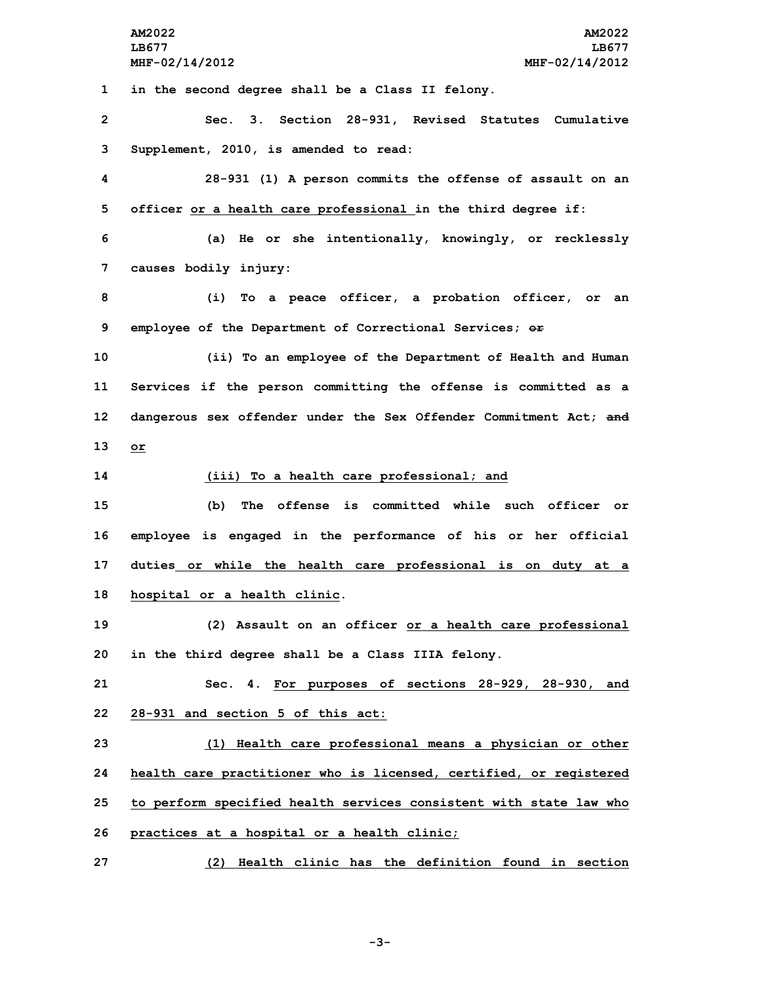**AM2022 AM2022 LB677 LB677 MHF-02/14/2012 MHF-02/14/2012 in the second degree shall be <sup>a</sup> Class II felony. Sec. 3. Section 28-931, Revised Statutes Cumulative Supplement, 2010, is amended to read: 28-931 (1) <sup>A</sup> person commits the offense of assault on an officer or <sup>a</sup> health care professional in the third degree if: (a) He or she intentionally, knowingly, or recklessly causes bodily injury: (i) To <sup>a</sup> peace officer, <sup>a</sup> probation officer, or an employee of the Department of Correctional Services; or (ii) To an employee of the Department of Health and Human Services if the person committing the offense is committed as <sup>a</sup> dangerous sex offender under the Sex Offender Commitment Act; and 13 or (iii) To <sup>a</sup> health care professional; and (b) The offense is committed while such officer or employee is engaged in the performance of his or her official duties or while the health care professional is on duty at <sup>a</sup> hospital or <sup>a</sup> health clinic. (2) Assault on an officer or <sup>a</sup> health care professional in the third degree shall be <sup>a</sup> Class IIIA felony. Sec. 4. For purposes of sections 28-929, 28-930, and 28-931 and section 5 of this act: (1) Health care professional means <sup>a</sup> physician or other health care practitioner who is licensed, certified, or registered to perform specified health services consistent with state law who practices at <sup>a</sup> hospital or <sup>a</sup> health clinic; (2) Health clinic has the definition found in section**

**-3-**